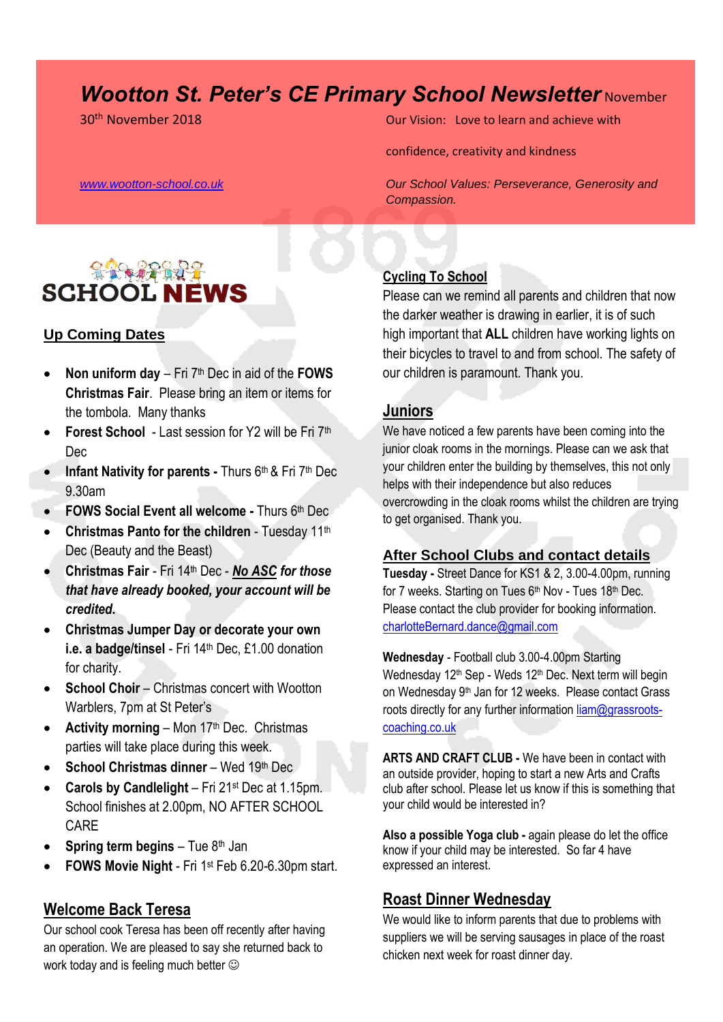# *Wootton St. Peter's CE Primary School Newsletter November*



### **Up Coming Dates**

- **Non uniform day**  Fri 7th Dec in aid of the **FOWS Christmas Fair**. Please bring an item or items for the tombola. Many thanks
- **Forest School**  Last session for Y2 will be Fri 7th Dec
- **Infant Nativity for parents Thurs 6th & Fri 7th Dec** 9.30am
- **FOWS Social Event all welcome -** Thurs 6th Dec
- **Christmas Panto for the children** Tuesday 11<sup>th</sup> Dec (Beauty and the Beast)
- **Christmas Fair** Fri 14th Dec *No ASC for those that have already booked, your account will be credited***.**
- **Christmas Jumper Day or decorate your own i.e. a badge/tinsel** - Fri 14<sup>th</sup> Dec, £1.00 donation for charity.
- **School Choir** Christmas concert with Wootton Warblers, 7pm at St Peter's
- **Activity morning Mon 17th Dec. Christmas** parties will take place during this week.
- **School Christmas dinner**  Wed 19th Dec
- **Carols by Candlelight**  Fri 21st Dec at 1.15pm. School finishes at 2.00pm, NO AFTER SCHOOL CARE
- **Spring term begins Tue 8th Jan**
- **FOWS Movie Night** Fri 1st Feb 6.20-6.30pm start.

# **Welcome Back Teresa**

Our school cook Teresa has been off recently after having an operation. We are pleased to say she returned back to work today and is feeling much better  $\odot$ 

30th November 2018 Our Vision: Love to learn and achieve with

confidence, creativity and kindness

*[www.wootton-school.co.uk](http://www.wootton-school.co.uk/) Our School Values: Perseverance, Generosity and Compassion.*

### **Cycling To School**

Please can we remind all parents and children that now the darker weather is drawing in earlier, it is of such high important that **ALL** children have working lights on their bicycles to travel to and from school. The safety of our children is paramount. Thank you.

### **Juniors**

We have noticed a few parents have been coming into the junior cloak rooms in the mornings. Please can we ask that your children enter the building by themselves, this not only helps with their independence but also reduces overcrowding in the cloak rooms whilst the children are trying to get organised. Thank you.

#### **After School Clubs and contact details**

**Tuesday -** Street Dance for KS1 & 2, 3.00-4.00pm, running for 7 weeks. Starting on Tues 6<sup>th</sup> Nov - Tues 18<sup>th</sup> Dec. Please contact the club provider for booking information. [charlotteBernard.dance@gmail.com](mailto:charlotteBernard.dance@gmail.com)

**Wednesday** - Football club 3.00-4.00pm Starting Wednesday 12<sup>th</sup> Sep - Weds 12<sup>th</sup> Dec. Next term will begin on Wednesday 9<sup>th</sup> Jan for 12 weeks. Please contact Grass roots directly for any further information [liam@grassroots](mailto:liam@grassroots-coaching.co.uk)[coaching.co.uk](mailto:liam@grassroots-coaching.co.uk)

**ARTS AND CRAFT CLUB -** We have been in contact with an outside provider, hoping to start a new Arts and Crafts club after school. Please let us know if this is something that your child would be interested in?

**Also a possible Yoga club -** again please do let the office know if your child may be interested. So far 4 have expressed an interest.

### **Roast Dinner Wednesday**

We would like to inform parents that due to problems with suppliers we will be serving sausages in place of the roast chicken next week for roast dinner day.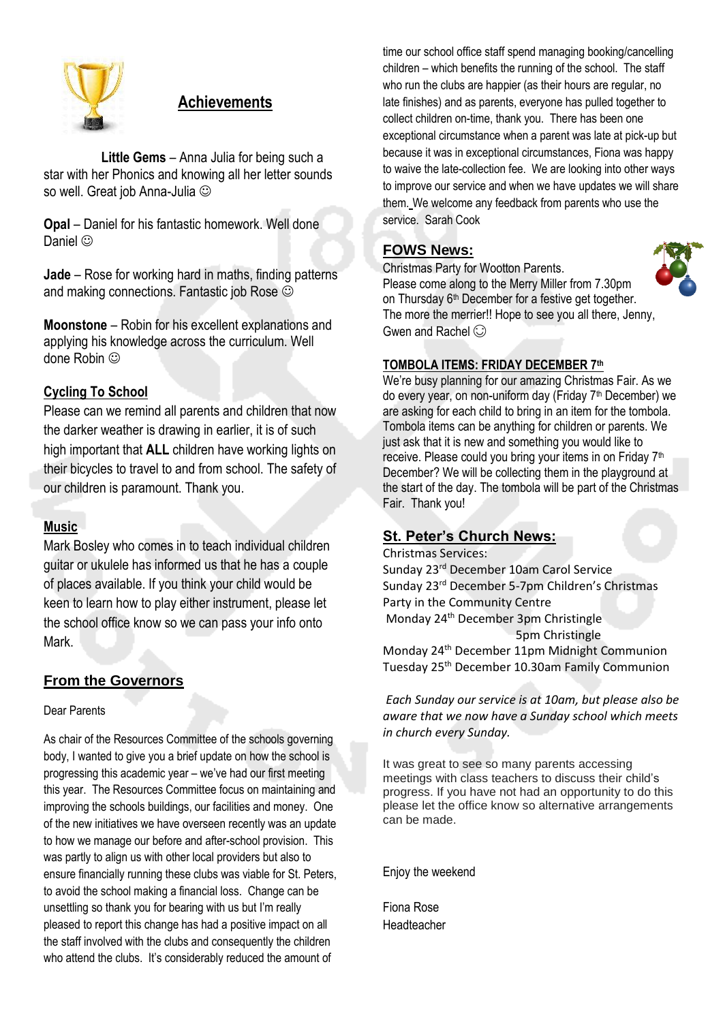

# **Achievements**

 **Little Gems** – Anna Julia for being such a star with her Phonics and knowing all her letter sounds so well. Great job Anna-Julia  $\odot$ 

**Opal** – Daniel for his fantastic homework. Well done Daniel ©

**Jade** – Rose for working hard in maths, finding patterns and making connections. Fantastic job Rose

**Moonstone** – Robin for his excellent explanations and applying his knowledge across the curriculum. Well done Robin  $\odot$ 

### **Cycling To School**

Please can we remind all parents and children that now the darker weather is drawing in earlier, it is of such high important that **ALL** children have working lights on their bicycles to travel to and from school. The safety of our children is paramount. Thank you.

### **Music**

Mark Bosley who comes in to teach individual children guitar or ukulele has informed us that he has a couple of places available. If you think your child would be keen to learn how to play either instrument, please let the school office know so we can pass your info onto Mark.

### **From the Governors**

Dear Parents

As chair of the Resources Committee of the schools governing body, I wanted to give you a brief update on how the school is progressing this academic year – we've had our first meeting this year. The Resources Committee focus on maintaining and improving the schools buildings, our facilities and money. One of the new initiatives we have overseen recently was an update to how we manage our before and after-school provision. This was partly to align us with other local providers but also to ensure financially running these clubs was viable for St. Peters, to avoid the school making a financial loss. Change can be unsettling so thank you for bearing with us but I'm really pleased to report this change has had a positive impact on all the staff involved with the clubs and consequently the children who attend the clubs. It's considerably reduced the amount of

time our school office staff spend managing booking/cancelling children – which benefits the running of the school. The staff who run the clubs are happier (as their hours are regular, no late finishes) and as parents, everyone has pulled together to collect children on-time, thank you. There has been one exceptional circumstance when a parent was late at pick-up but because it was in exceptional circumstances, Fiona was happy to waive the late-collection fee. We are looking into other ways to improve our service and when we have updates we will share them. We welcome any feedback from parents who use the service. Sarah Cook

# **FOWS News:**



Christmas Party for Wootton Parents. Please come along to the Merry Miller from 7.30pm on Thursday 6<sup>th</sup> December for a festive get together. The more the merrier!! Hope to see you all there, Jenny, Gwen and Rachel  $\odot$ 

### **TOMBOLA ITEMS: FRIDAY DECEMBER 7th**

We're busy planning for our amazing Christmas Fair. As we do every year, on non-uniform day (Friday 7<sup>th</sup> December) we are asking for each child to bring in an item for the tombola. Tombola items can be anything for children or parents. We just ask that it is new and something you would like to receive. Please could you bring your items in on Friday 7<sup>th</sup> December? We will be collecting them in the playground at the start of the day. The tombola will be part of the Christmas Fair. Thank you!

# **St. Peter's Church News:**

Christmas Services: Sunday 23rd December 10am Carol Service Sunday 23<sup>rd</sup> December 5-7pm Children's Christmas Party in the Community Centre Monday 24th December 3pm Christingle 5pm Christingle Monday 24<sup>th</sup> December 11pm Midnight Communion Tuesday 25th December 10.30am Family Communion

*Each Sunday our service is at 10am, but please also be aware that we now have a Sunday school which meets in church every Sunday.*

It was great to see so many parents accessing meetings with class teachers to discuss their child's progress. If you have not had an opportunity to do this please let the office know so alternative arrangements can be made.

Enjoy the weekend

Fiona Rose Headteacher